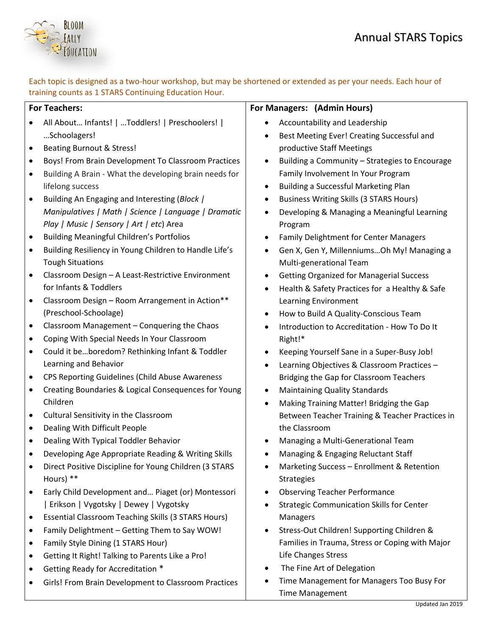

Each topic is designed as a two-hour workshop, but may be shortened or extended as per your needs. Each hour of training counts as 1 STARS Continuing Education Hour.

| <b>For Teachers:</b>                                                    | For Managers: (Admin Hours)                                   |
|-------------------------------------------------------------------------|---------------------------------------------------------------|
| All About Infants!    Toddlers!   Preschoolers!  <br>$\bullet$          | Accountability and Leadership                                 |
| Schoolagers!                                                            | Best Meeting Ever! Creating Successful and                    |
| <b>Beating Burnout &amp; Stress!</b><br>$\bullet$                       | productive Staff Meetings                                     |
| Boys! From Brain Development To Classroom Practices<br>$\bullet$        | Building a Community - Strategies to Encourage<br>$\bullet$   |
| Building A Brain - What the developing brain needs for<br>$\bullet$     | Family Involvement In Your Program                            |
| lifelong success                                                        | Building a Successful Marketing Plan<br>$\bullet$             |
| Building An Engaging and Interesting (Block /<br>$\bullet$              | <b>Business Writing Skills (3 STARS Hours)</b><br>$\bullet$   |
| Manipulatives   Math   Science   Language   Dramatic                    | Developing & Managing a Meaningful Learning<br>$\bullet$      |
| Play   Music   Sensory   Art   etc) Area                                | Program                                                       |
| <b>Building Meaningful Children's Portfolios</b><br>$\bullet$           | Family Delightment for Center Managers<br>$\bullet$           |
| Building Resiliency in Young Children to Handle Life's<br>$\bullet$     | Gen X, Gen Y, MillenniumsOh My! Managing a                    |
| <b>Tough Situations</b>                                                 | Multi-generational Team                                       |
| Classroom Design - A Least-Restrictive Environment<br>$\bullet$         | <b>Getting Organized for Managerial Success</b><br>$\bullet$  |
| for Infants & Toddlers                                                  | Health & Safety Practices for a Healthy & Safe<br>$\bullet$   |
| Classroom Design - Room Arrangement in Action**<br>$\bullet$            | Learning Environment                                          |
| (Preschool-Schoolage)                                                   | How to Build A Quality-Conscious Team<br>$\bullet$            |
| Classroom Management - Conquering the Chaos<br>$\bullet$                | Introduction to Accreditation - How To Do It                  |
| Coping With Special Needs In Your Classroom<br>$\bullet$                | Right!*                                                       |
| Could it beboredom? Rethinking Infant & Toddler<br>$\bullet$            | Keeping Yourself Sane in a Super-Busy Job!                    |
| Learning and Behavior                                                   | Learning Objectives & Classroom Practices -                   |
| CPS Reporting Guidelines (Child Abuse Awareness<br>$\bullet$            | Bridging the Gap for Classroom Teachers                       |
| Creating Boundaries & Logical Consequences for Young<br>$\bullet$       | <b>Maintaining Quality Standards</b><br>$\bullet$             |
| Children                                                                | Making Training Matter! Bridging the Gap<br>$\bullet$         |
| Cultural Sensitivity in the Classroom<br>$\bullet$                      | Between Teacher Training & Teacher Practices in               |
| Dealing With Difficult People<br>$\bullet$                              | the Classroom                                                 |
| Dealing With Typical Toddler Behavior<br>$\bullet$                      | Managing a Multi-Generational Team                            |
| Developing Age Appropriate Reading & Writing Skills<br>$\bullet$        | Managing & Engaging Reluctant Staff                           |
| Direct Positive Discipline for Young Children (3 STARS<br>$\bullet$     | Marketing Success - Enrollment & Retention<br>$\bullet$       |
| Hours) **                                                               | <b>Strategies</b>                                             |
| Early Child Development and Piaget (or) Montessori<br>$\bullet$         | <b>Observing Teacher Performance</b>                          |
| Erikson   Vygotsky   Dewey   Vygotsky                                   | <b>Strategic Communication Skills for Center</b><br>$\bullet$ |
| <b>Essential Classroom Teaching Skills (3 STARS Hours)</b><br>$\bullet$ | Managers                                                      |
| Family Delightment - Getting Them to Say WOW!<br>$\bullet$              | Stress-Out Children! Supporting Children &<br>$\bullet$       |
| Family Style Dining (1 STARS Hour)<br>$\bullet$                         | Families in Trauma, Stress or Coping with Major               |
| Getting It Right! Talking to Parents Like a Pro!<br>$\bullet$           | Life Changes Stress                                           |
| Getting Ready for Accreditation *                                       | The Fine Art of Delegation                                    |
| Girls! From Brain Development to Classroom Practices                    | Time Management for Managers Too Busy For                     |
|                                                                         | <b>Time Management</b>                                        |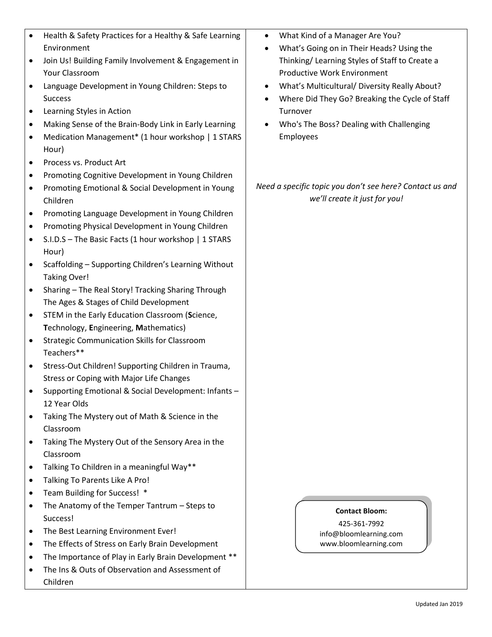|   | Health & Safety Practices for a Healthy & Safe Learning                |        |
|---|------------------------------------------------------------------------|--------|
|   | Environment                                                            |        |
|   | Join Us! Building Family Involvement & Engagement in<br>Your Classroom |        |
|   | Language Development in Young Children: Steps to                       |        |
|   | <b>Success</b>                                                         |        |
|   | Learning Styles in Action                                              |        |
|   | Making Sense of the Brain-Body Link in Early Learning                  |        |
|   | Medication Management* (1 hour workshop   1 STARS<br>Hour)             |        |
| ٠ | Process vs. Product Art                                                |        |
|   | Promoting Cognitive Development in Young Children                      |        |
|   | Promoting Emotional & Social Development in Young<br>Children          | Need o |
|   | Promoting Language Development in Young Children                       |        |
|   | Promoting Physical Development in Young Children                       |        |
|   | S.I.D.S - The Basic Facts (1 hour workshop   1 STARS                   |        |
|   | Hour)                                                                  |        |
|   | Scaffolding - Supporting Children's Learning Without                   |        |
|   | <b>Taking Over!</b>                                                    |        |
|   | Sharing - The Real Story! Tracking Sharing Through                     |        |
|   | The Ages & Stages of Child Development                                 |        |
|   | STEM in the Early Education Classroom (Science,                        |        |
|   | Technology, Engineering, Mathematics)                                  |        |
|   | <b>Strategic Communication Skills for Classroom</b><br>Teachers**      |        |
|   | Stress-Out Children! Supporting Children in Trauma,                    |        |
|   | Stress or Coping with Major Life Changes                               |        |
|   | Supporting Emotional & Social Development: Infants -                   |        |
|   | 12 Year Olds                                                           |        |
|   | Taking The Mystery out of Math & Science in the                        |        |
|   | Classroom                                                              |        |
|   | Taking The Mystery Out of the Sensory Area in the                      |        |
|   | Classroom                                                              |        |
|   | Talking To Children in a meaningful Way**                              |        |
|   | Talking To Parents Like A Pro!                                         |        |
|   | Team Building for Success! *                                           |        |
|   | The Anatomy of the Temper Tantrum - Steps to                           |        |
|   | Success!                                                               |        |
|   | The Best Learning Environment Ever!                                    |        |
|   | The Effects of Stress on Early Brain Development                       |        |
|   | The Importance of Play in Early Brain Development **                   |        |
|   | The Ins & Outs of Observation and Assessment of<br>Children            |        |
|   |                                                                        |        |

|  | What Kind of a Manager Are You? |
|--|---------------------------------|
|--|---------------------------------|

- What's Going on in Their Heads? Using the Thinking/ Learning Styles of Staff to Create a Productive Work Environment
- What's Multicultural/ Diversity Really About?
- Where Did They Go? Breaking the Cycle of Staff Turnover
- Who's The Boss? Dealing with Challenging Employees

## *Need a specific topic you don't see here? Contact us and we'll create it just for you!*

## **Contact Bloom:**

425-361-7992 info@bloomlearning.com www.bloomlearning.com